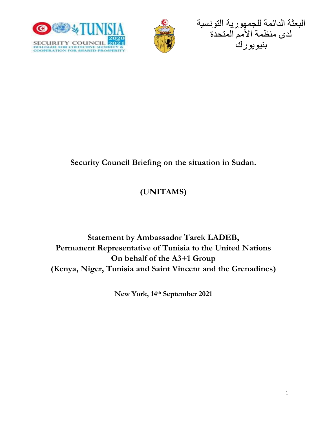





### **Security Council Briefing on the situation in Sudan.**

# **(UNITAMS)**

## **Statement by Ambassador Tarek LADEB, Permanent Representative of Tunisia to the United Nations On behalf of the A3+1 Group (Kenya, Niger, Tunisia and Saint Vincent and the Grenadines)**

**New York, 14th September 2021**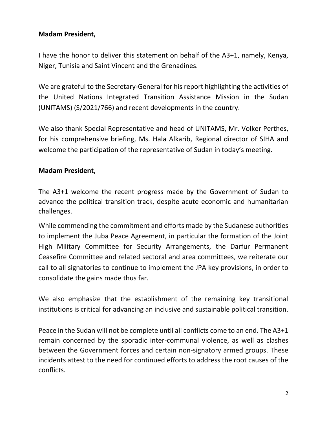#### **Madam President,**

I have the honor to deliver this statement on behalf of the A3+1, namely, Kenya, Niger, Tunisia and Saint Vincent and the Grenadines.

We are grateful to the Secretary-General for his report highlighting the activities of the United Nations Integrated Transition Assistance Mission in the Sudan (UNITAMS) (S/2021/766) and recent developments in the country.

We also thank Special Representative and head of UNITAMS, Mr. Volker Perthes, for his comprehensive briefing, Ms. Hala Alkarib, Regional director of SIHA and welcome the participation of the representative of Sudan in today's meeting.

#### **Madam President,**

The A3+1 welcome the recent progress made by the Government of Sudan to advance the political transition track, despite acute economic and humanitarian challenges.

While commending the commitment and efforts made by the Sudanese authorities to implement the Juba Peace Agreement, in particular the formation of the Joint High Military Committee for Security Arrangements, the Darfur Permanent Ceasefire Committee and related sectoral and area committees, we reiterate our call to all signatories to continue to implement the JPA key provisions, in order to consolidate the gains made thus far.

We also emphasize that the establishment of the remaining key transitional institutions is critical for advancing an inclusive and sustainable political transition.

Peace in the Sudan will not be complete until all conflicts come to an end. The A3+1 remain concerned by the sporadic inter-communal violence, as well as clashes between the Government forces and certain non-signatory armed groups. These incidents attest to the need for continued efforts to address the root causes of the conflicts.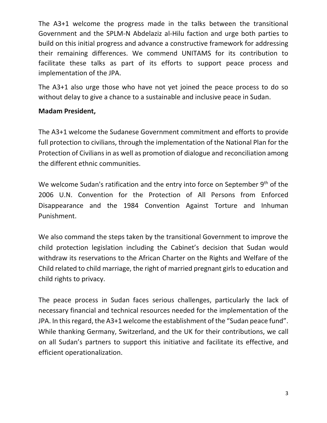The A3+1 welcome the progress made in the talks between the transitional Government and the SPLM-N Abdelaziz al-Hilu faction and urge both parties to build on this initial progress and advance a constructive framework for addressing their remaining differences. We commend UNITAMS for its contribution to facilitate these talks as part of its efforts to support peace process and implementation of the JPA.

The A3+1 also urge those who have not yet joined the peace process to do so without delay to give a chance to a sustainable and inclusive peace in Sudan.

#### **Madam President,**

The A3+1 welcome the Sudanese Government commitment and efforts to provide full protection to civilians, through the implementation of the National Plan for the Protection of Civilians in as well as promotion of dialogue and reconciliation among the different ethnic communities.

We welcome Sudan's ratification and the entry into force on September 9<sup>th</sup> of the 2006 U.N. Convention for the Protection of All Persons from Enforced Disappearance and the 1984 Convention Against Torture and Inhuman Punishment.

We also command the steps taken by the transitional Government to improve the child protection legislation including the Cabinet's decision that Sudan would withdraw its reservations to the African Charter on the Rights and Welfare of the Child related to child marriage, the right of married pregnant girls to education and child rights to privacy.

The peace process in Sudan faces serious challenges, particularly the lack of necessary financial and technical resources needed for the implementation of the JPA. In this regard, the A3+1 welcome the establishment of the "Sudan peace fund". While thanking Germany, Switzerland, and the UK for their contributions, we call on all Sudan's partners to support this initiative and facilitate its effective, and efficient operationalization.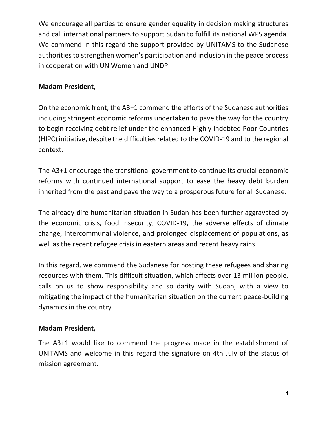We encourage all parties to ensure gender equality in decision making structures and call international partners to support Sudan to fulfill its national WPS agenda. We commend in this regard the support provided by UNITAMS to the Sudanese authorities to strengthen women's participation and inclusion in the peace process in cooperation with UN Women and UNDP

#### **Madam President,**

On the economic front, the A3+1 commend the efforts of the Sudanese authorities including stringent economic reforms undertaken to pave the way for the country to begin receiving debt relief under the enhanced Highly Indebted Poor Countries (HIPC) initiative, despite the difficulties related to the COVID-19 and to the regional context.

The A3+1 encourage the transitional government to continue its crucial economic reforms with continued international support to ease the heavy debt burden inherited from the past and pave the way to a prosperous future for all Sudanese.

The already dire humanitarian situation in Sudan has been further aggravated by the economic crisis, food insecurity, COVID-19, the adverse effects of climate change, intercommunal violence, and prolonged displacement of populations, as well as the recent refugee crisis in eastern areas and recent heavy rains.

In this regard, we commend the Sudanese for hosting these refugees and sharing resources with them. This difficult situation, which affects over 13 million people, calls on us to show responsibility and solidarity with Sudan, with a view to mitigating the impact of the humanitarian situation on the current peace-building dynamics in the country.

### **Madam President,**

The A3+1 would like to commend the progress made in the establishment of UNITAMS and welcome in this regard the signature on 4th July of the status of mission agreement.